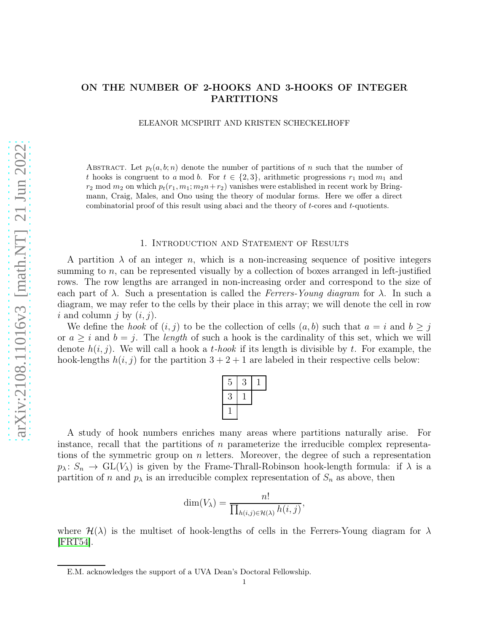# ON THE NUMBER OF 2-HOOKS AND 3-HOOKS OF INTEGER PARTITIONS

ELEANOR MCSPIRIT AND KRISTEN SCHECKELHOFF

ABSTRACT. Let  $p_t(a, b; n)$  denote the number of partitions of n such that the number of t hooks is congruent to a mod b. For  $t \in \{2,3\}$ , arithmetic progressions  $r_1$  mod  $m_1$  and  $r_2$  mod  $m_2$  on which  $p_t(r_1, m_1; m_2n+r_2)$  vanishes were established in recent work by Bringmann, Craig, Males, and Ono using the theory of modular forms. Here we offer a direct combinatorial proof of this result using abaci and the theory of t-cores and t-quotients.

### 1. Introduction and Statement of Results

A partition  $\lambda$  of an integer n, which is a non-increasing sequence of positive integers summing to  $n$ , can be represented visually by a collection of boxes arranged in left-justified rows. The row lengths are arranged in non-increasing order and correspond to the size of each part of  $\lambda$ . Such a presentation is called the Ferrers-Young diagram for  $\lambda$ . In such a diagram, we may refer to the cells by their place in this array; we will denote the cell in row i and column j by  $(i, j)$ .

We define the *hook* of  $(i, j)$  to be the collection of cells  $(a, b)$  such that  $a = i$  and  $b \geq j$ or  $a \geq i$  and  $b = j$ . The length of such a hook is the cardinality of this set, which we will denote  $h(i, j)$ . We will call a hook a t-hook if its length is divisible by t. For example, the hook-lengths  $h(i, j)$  for the partition  $3 + 2 + 1$  are labeled in their respective cells below:

| 5 | 3 |  |
|---|---|--|
| 3 |   |  |
|   |   |  |

A study of hook numbers enriches many areas where partitions naturally arise. For instance, recall that the partitions of n parameterize the irreducible complex representations of the symmetric group on n letters. Moreover, the degree of such a representation  $p_{\lambda} : S_n \to GL(V_{\lambda})$  is given by the Frame-Thrall-Robinson hook-length formula: if  $\lambda$  is a partition of n and  $p_{\lambda}$  is an irreducible complex representation of  $S_n$  as above, then

$$
\dim(V_{\lambda}) = \frac{n!}{\prod_{h(i,j)\in\mathcal{H}(\lambda)} h(i,j)},
$$

where  $\mathcal{H}(\lambda)$  is the multiset of hook-lengths of cells in the Ferrers-Young diagram for  $\lambda$ [\[FRT54\]](#page-6-0).

E.M. acknowledges the support of a UVA Dean's Doctoral Fellowship.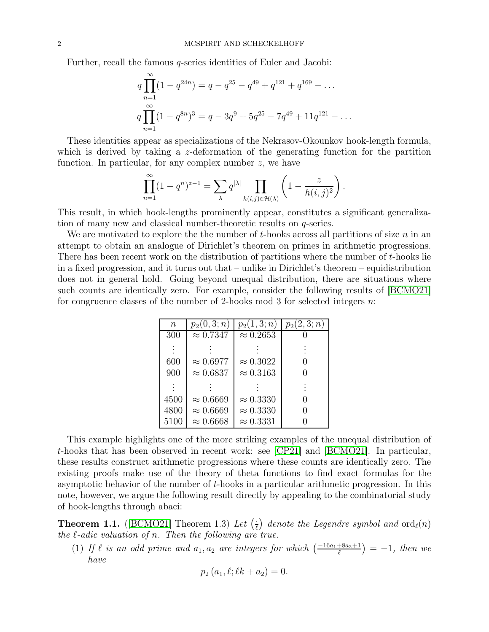Further, recall the famous q-series identities of Euler and Jacobi:

$$
q \prod_{n=1}^{\infty} (1 - q^{24n}) = q - q^{25} - q^{49} + q^{121} + q^{169} - \dots
$$
  

$$
q \prod_{n=1}^{\infty} (1 - q^{8n})^3 = q - 3q^9 + 5q^{25} - 7q^{49} + 11q^{121} - \dots
$$

These identities appear as specializations of the Nekrasov-Okounkov hook-length formula, which is derived by taking a z-deformation of the generating function for the partition function. In particular, for any complex number  $z$ , we have

$$
\prod_{n=1}^{\infty} (1 - q^n)^{z-1} = \sum_{\lambda} q^{|\lambda|} \prod_{h(i,j) \in \mathcal{H}(\lambda)} \left(1 - \frac{z}{h(i,j)^2}\right).
$$

This result, in which hook-lengths prominently appear, constitutes a significant generalization of many new and classical number-theoretic results on q-series.

We are motivated to explore the the number of  $t$ -hooks across all partitions of size  $n$  in an attempt to obtain an analogue of Dirichlet's theorem on primes in arithmetic progressions. There has been recent work on the distribution of partitions where the number of t-hooks lie in a fixed progression, and it turns out that – unlike in Dirichlet's theorem – equidistribution does not in general hold. Going beyond unequal distribution, there are situations where such counts are identically zero. For example, consider the following results of [\[BCMO21\]](#page-6-1) for congruence classes of the number of 2-hooks mod 3 for selected integers n:

| $\boldsymbol{n}$ | $p_2(0,3;n)$     | $p_2(1,3;n)$     | $p_2(2,3;n)$ |
|------------------|------------------|------------------|--------------|
| 300              | $\approx 0.7347$ | $\approx 0.2653$ |              |
|                  |                  |                  |              |
| 600              | $\approx 0.6977$ | $\approx 0.3022$ |              |
| 900              | $\approx 0.6837$ | $\approx 0.3163$ |              |
|                  |                  |                  |              |
| 4500             | $\approx 0.6669$ | $\approx 0.3330$ |              |
| 4800             | $\approx 0.6669$ | $\approx 0.3330$ |              |
| 5100             | $\approx 0.6668$ | $\approx 0.3331$ |              |

This example highlights one of the more striking examples of the unequal distribution of t-hooks that has been observed in recent work: see [\[CP21\]](#page-6-2) and [\[BCMO21\]](#page-6-1). In particular, these results construct arithmetic progressions where these counts are identically zero. The existing proofs make use of the theory of theta functions to find exact formulas for the asymptotic behavior of the number of t-hooks in a particular arithmetic progression. In this note, however, we argue the following result directly by appealing to the combinatorial study of hook-lengths through abaci:

<span id="page-1-0"></span>**Theorem 1.1.** ([\[BCMO21\]](#page-6-1) Theorem 1.3) Let  $\left(\frac{1}{\ell}\right)$  denote the Legendre symbol and  $\text{ord}_{\ell}(n)$ the  $\ell$ -adic valuation of n. Then the following are true.

(1) If  $\ell$  is an odd prime and  $a_1, a_2$  are integers for which  $\left(\frac{-16a_1+8a_2+1}{\ell}\right) = -1$ , then we have

$$
p_2(a_1, \ell; \ell k + a_2) = 0.
$$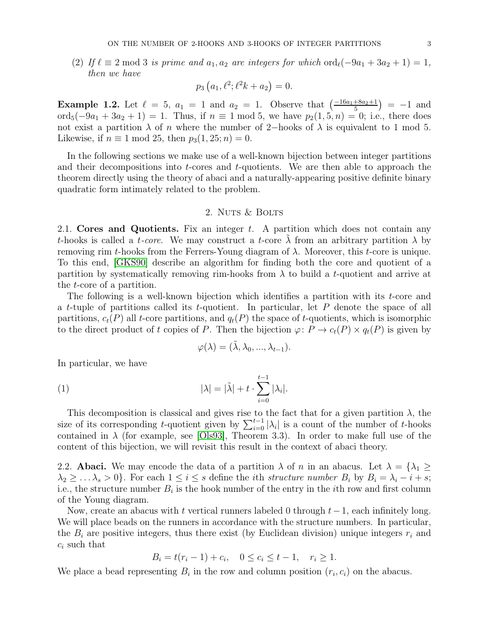(2) If  $\ell \equiv 2 \mod 3$  is prime and  $a_1, a_2$  are integers for which  $\text{ord}_{\ell}(-9a_1 + 3a_2 + 1) = 1$ , then we have

$$
p_3(a_1, \ell^2; \ell^2 k + a_2) = 0.
$$

**Example 1.2.** Let  $\ell = 5$ ,  $a_1 = 1$  and  $a_2 = 1$ . Observe that  $\left(\frac{-16a_1 + 8a_2 + 1}{5}\right) = -1$  and ord<sub>5</sub> $(-9a_1 + 3a_2 + 1) = 1$ . Thus, if  $n \equiv 1 \mod 5$ , we have  $p_2(1, 5, n) = 0$ ; i.e., there does not exist a partition  $\lambda$  of n where the number of 2-hooks of  $\lambda$  is equivalent to 1 mod 5. Likewise, if  $n \equiv 1 \mod 25$ , then  $p_3(1, 25; n) = 0$ .

In the following sections we make use of a well-known bijection between integer partitions and their decompositions into  $t$ -cores and  $t$ -quotients. We are then able to approach the theorem directly using the theory of abaci and a naturally-appearing positive definite binary quadratic form intimately related to the problem.

## 2. NUTS & BOLTS

2.1. Cores and Quotients. Fix an integer  $t$ . A partition which does not contain any t-hooks is called a t-core. We may construct a t-core  $\lambda$  from an arbitrary partition  $\lambda$  by removing rim t-hooks from the Ferrers-Young diagram of  $\lambda$ . Moreover, this t-core is unique. To this end, [\[GKS90\]](#page-6-3) describe an algorithm for finding both the core and quotient of a partition by systematically removing rim-hooks from  $\lambda$  to build a t-quotient and arrive at the t-core of a partition.

The following is a well-known bijection which identifies a partition with its t-core and a t-tuple of partitions called its t-quotient. In particular, let  $P$  denote the space of all partitions,  $c_t(P)$  all t-core partitions, and  $q_t(P)$  the space of t-quotients, which is isomorphic to the direct product of t copies of P. Then the bijection  $\varphi: P \to c_t(P) \times q_t(P)$  is given by

$$
\varphi(\lambda) = (\tilde{\lambda}, \lambda_0, ..., \lambda_{t-1}).
$$

In particular, we have

(1) 
$$
|\lambda| = |\tilde{\lambda}| + t \cdot \sum_{i=0}^{t-1} |\lambda_i|.
$$

This decomposition is classical and gives rise to the fact that for a given partition  $\lambda$ , the size of its corresponding t-quotient given by  $\sum_{i=0}^{t-1} |\lambda_i|$  is a count of the number of t-hooks contained in  $\lambda$  (for example, see [\[Ols93\]](#page-6-4), Theorem 3.3). In order to make full use of the content of this bijection, we will revisit this result in the context of abaci theory.

2.2. **Abaci.** We may encode the data of a partition  $\lambda$  of n in an abacus. Let  $\lambda = {\lambda_1 \geq \lambda_2}$  $\lambda_2 \geq \ldots \lambda_s > 0$ . For each  $1 \leq i \leq s$  define the *i*th *structure number*  $B_i$  by  $B_i = \lambda_i - i + s$ ; i.e., the structure number  $B_i$  is the hook number of the entry in the *i*th row and first column of the Young diagram.

Now, create an abacus with t vertical runners labeled 0 through  $t-1$ , each infinitely long. We will place beads on the runners in accordance with the structure numbers. In particular, the  $B_i$  are positive integers, thus there exist (by Euclidean division) unique integers  $r_i$  and  $c_i$  such that

$$
B_i = t(r_i - 1) + c_i, \quad 0 \le c_i \le t - 1, \quad r_i \ge 1.
$$

We place a bead representing  $B_i$  in the row and column position  $(r_i, c_i)$  on the abacus.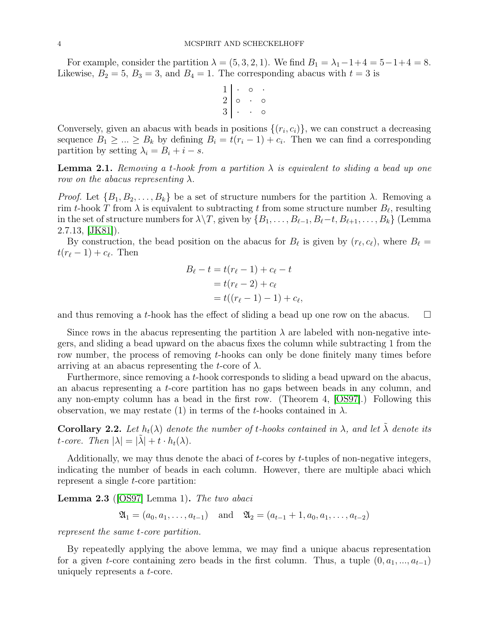For example, consider the partition  $\lambda = (5, 3, 2, 1)$ . We find  $B_1 = \lambda_1 - 1 + 4 = 5 - 1 + 4 = 8$ . Likewise,  $B_2 = 5$ ,  $B_3 = 3$ , and  $B_4 = 1$ . The corresponding abacus with  $t = 3$  is

$$
\begin{array}{c|cc} 1 & \cdot & \circ & \cdot \\ 2 & \circ & \cdot & \circ \\ 3 & \cdot & \cdot & \circ \end{array}
$$

Conversely, given an abacus with beads in positions  $\{(r_i, c_i)\}\$ , we can construct a decreasing sequence  $B_1 \geq ... \geq B_k$  by defining  $B_i = t(r_i - 1) + c_i$ . Then we can find a corresponding partition by setting  $\lambda_i = B_i + i - s$ .

**Lemma 2.1.** Removing a t-hook from a partition  $\lambda$  is equivalent to sliding a bead up one row on the abacus representing  $\lambda$ .

*Proof.* Let  $\{B_1, B_2, \ldots, B_k\}$  be a set of structure numbers for the partition  $\lambda$ . Removing a rim t-hook T from  $\lambda$  is equivalent to subtracting t from some structure number  $B_{\ell}$ , resulting in the set of structure numbers for  $\lambda \backslash T$ , given by  $\{B_1, \ldots, B_{\ell-1}, B_{\ell} - t, B_{\ell+1}, \ldots, B_k\}$  (Lemma  $2.7.13, |JK81|$ ).

By construction, the bead position on the abacus for  $B_{\ell}$  is given by  $(r_{\ell}, c_{\ell})$ , where  $B_{\ell} =$  $t(r_{\ell}-1)+c_{\ell}$ . Then

$$
B_{\ell} - t = t(r_{\ell} - 1) + c_{\ell} - t
$$
  
=  $t(r_{\ell} - 2) + c_{\ell}$   
=  $t((r_{\ell} - 1) - 1) + c_{\ell}$ ,

and thus removing a t-hook has the effect of sliding a bead up one row on the abacus.  $\Box$ 

Since rows in the abacus representing the partition  $\lambda$  are labeled with non-negative integers, and sliding a bead upward on the abacus fixes the column while subtracting 1 from the row number, the process of removing t-hooks can only be done finitely many times before arriving at an abacus representing the t-core of  $\lambda$ .

Furthermore, since removing a t-hook corresponds to sliding a bead upward on the abacus, an abacus representing a t-core partition has no gaps between beads in any column, and any non-empty column has a bead in the first row. (Theorem 4, [\[OS97\]](#page-6-6).) Following this observation, we may restate (1) in terms of the t-hooks contained in  $\lambda$ .

<span id="page-3-0"></span>**Corollary 2.2.** Let  $h_t(\lambda)$  denote the number of t-hooks contained in  $\lambda$ , and let  $\tilde{\lambda}$  denote its t-core. Then  $|\lambda| = |\tilde{\lambda}| + t \cdot h_t(\lambda)$ .

Additionally, we may thus denote the abaci of t-cores by t-tuples of non-negative integers, indicating the number of beads in each column. However, there are multiple abaci which represent a single *t*-core partition:

**Lemma 2.3** ([\[OS97\]](#page-6-6) Lemma 1). The two abaci

$$
\mathfrak{A}_1 = (a_0, a_1, \ldots, a_{t-1})
$$
 and  $\mathfrak{A}_2 = (a_{t-1} + 1, a_0, a_1, \ldots, a_{t-2})$ 

represent the same t-core partition.

By repeatedly applying the above lemma, we may find a unique abacus representation for a given t-core containing zero beads in the first column. Thus, a tuple  $(0, a_1, ..., a_{t-1})$ uniquely represents a t-core.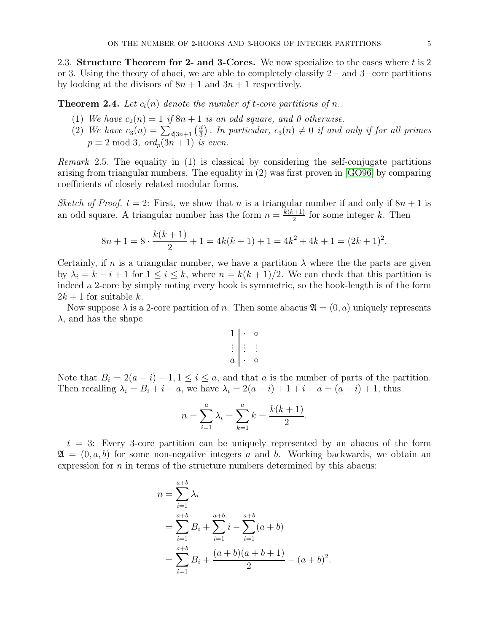2.3. Structure Theorem for 2- and 3-Cores. We now specialize to the cases where t is 2 or 3. Using the theory of abaci, we are able to completely classify 2− and 3−core partitions by looking at the divisors of  $8n + 1$  and  $3n + 1$  respectively.

**Theorem 2.4.** Let  $c_t(n)$  denote the number of t-core partitions of n.

- (1) We have  $c_2(n) = 1$  if  $8n + 1$  is an odd square, and 0 otherwise.
- (2) We have  $c_3(n) = \sum_{d|3n+1} \left(\frac{d}{3}\right)$  $\frac{d}{3}$ ). In particular,  $c_3(n) \neq 0$  if and only if for all primes  $p \equiv 2 \mod 3$ , ord<sub>n</sub> $(3n + 1)$  is even.

Remark 2.5. The equality in (1) is classical by considering the self-conjugate partitions arising from triangular numbers. The equality in (2) was first proven in [\[GO96\]](#page-6-7) by comparing coefficients of closely related modular forms.

Sketch of Proof.  $t = 2$ : First, we show that n is a triangular number if and only if  $8n + 1$  is an odd square. A triangular number has the form  $n = \frac{k(k+1)}{2}$  $\frac{(k+1)}{2}$  for some integer k. Then

$$
8n + 1 = 8 \cdot \frac{k(k+1)}{2} + 1 = 4k(k+1) + 1 = 4k^2 + 4k + 1 = (2k+1)^2.
$$

Certainly, if n is a triangular number, we have a partition  $\lambda$  where the the parts are given by  $\lambda_i = k - i + 1$  for  $1 \leq i \leq k$ , where  $n = k(k+1)/2$ . We can check that this partition is indeed a 2-core by simply noting every hook is symmetric, so the hook-length is of the form  $2k+1$  for suitable k.

Now suppose  $\lambda$  is a 2-core partition of n. Then some abacus  $\mathfrak{A} = (0, a)$  uniquely represents  $\lambda$ , and has the shape

$$
\begin{array}{c|cc} 1 & \cdot & \circ \\ \vdots & \vdots & \vdots \\ a & \cdot & \circ \end{array}
$$

Note that  $B_i = 2(a - i) + 1, 1 \leq i \leq a$ , and that a is the number of parts of the partition. Then recalling  $\lambda_i = B_i + i - a$ , we have  $\lambda_i = 2(a - i) + 1 + i - a = (a - i) + 1$ , thus

$$
n = \sum_{i=1}^{a} \lambda_i = \sum_{k=1}^{a} k = \frac{k(k+1)}{2}.
$$

 $t = 3$ : Every 3-core partition can be uniquely represented by an abacus of the form  $\mathfrak{A} = (0, a, b)$  for some non-negative integers a and b. Working backwards, we obtain an expression for  $n$  in terms of the structure numbers determined by this abacus:

$$
n = \sum_{i=1}^{a+b} \lambda_i
$$
  
=  $\sum_{i=1}^{a+b} B_i + \sum_{i=1}^{a+b} i - \sum_{i=1}^{a+b} (a+b)$   
=  $\sum_{i=1}^{a+b} B_i + \frac{(a+b)(a+b+1)}{2} - (a+b)^2$ .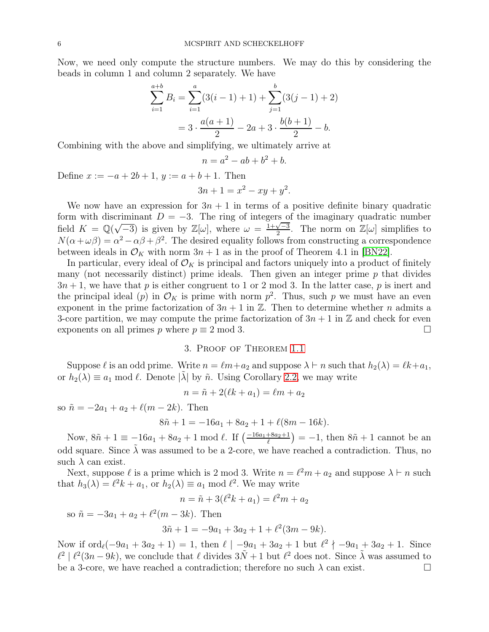Now, we need only compute the structure numbers. We may do this by considering the beads in column 1 and column 2 separately. We have

$$
\sum_{i=1}^{a+b} B_i = \sum_{i=1}^{a} (3(i-1) + 1) + \sum_{j=1}^{b} (3(j-1) + 2)
$$

$$
= 3 \cdot \frac{a(a+1)}{2} - 2a + 3 \cdot \frac{b(b+1)}{2} - b.
$$

Combining with the above and simplifying, we ultimately arrive at

$$
n = a^2 - ab + b^2 + b.
$$

Define  $x := -a + 2b + 1$ ,  $y := a + b + 1$ . Then

$$
3n + 1 = x^2 - xy + y^2.
$$

We now have an expression for  $3n + 1$  in terms of a positive definite binary quadratic form with discriminant  $D = -3$ . The ring of integers of the imaginary quadratic number field  $K = \mathbb{Q}(\sqrt{-3})$  is given by  $\mathbb{Z}[\omega]$ , where  $\omega = \frac{1+\sqrt{-3}}{2}$ . The norm on  $\mathbb{Z}[\omega]$  simplifies to  $N(\alpha + \omega \beta) = \alpha^2 - \alpha \beta + \beta^2$ . The desired equality follows from constructing a correspondence between ideals in  $\mathcal{O}_K$  with norm  $3n + 1$  as in the proof of Theorem 4.1 in [\[BN22\]](#page-6-8).

In particular, every ideal of  $\mathcal{O}_K$  is principal and factors uniquely into a product of finitely many (not necessarily distinct) prime ideals. Then given an integer prime  $p$  that divides  $3n + 1$ , we have that p is either congruent to 1 or 2 mod 3. In the latter case, p is inert and the principal ideal (p) in  $\mathcal{O}_K$  is prime with norm  $p^2$ . Thus, such p we must have an even exponent in the prime factorization of  $3n + 1$  in  $\mathbb{Z}$ . Then to determine whether *n* admits a 3-core partition, we may compute the prime factorization of  $3n + 1$  in  $\mathbb{Z}$  and check for even exponents on all primes p where  $p \equiv 2 \mod 3$ .

## 3. Proof of Theorem [1.1](#page-1-0)

Suppose  $\ell$  is an odd prime. Write  $n = \ell m + a_2$  and suppose  $\lambda \vdash n$  such that  $h_2(\lambda) = \ell k + a_1$ , or  $h_2(\lambda) \equiv a_1 \mod l$ . Denote  $|\lambda|$  by  $\tilde{n}$ . Using Corollary [2.2,](#page-3-0) we may write

$$
n = \tilde{n} + 2(\ell k + a_1) = \ell m + a_2
$$

so  $\tilde{n} = -2a_1 + a_2 + \ell(m - 2k)$ . Then

$$
8\tilde{n} + 1 = -16a_1 + 8a_2 + 1 + \ell(8m - 16k).
$$

Now,  $8\tilde{n} + 1 \equiv -16a_1 + 8a_2 + 1 \mod l$ . If  $\left(\frac{-16a_1 + 8a_2 + 1}{l}\right) = -1$ , then  $8\tilde{n} + 1$  cannot be an odd square. Since  $\lambda$  was assumed to be a 2-core, we have reached a contradiction. Thus, no such  $\lambda$  can exist.

Next, suppose  $\ell$  is a prime which is 2 mod 3. Write  $n = \ell^2 m + a_2$  and suppose  $\lambda \vdash n$  such that  $h_3(\lambda) = \ell^2 k + a_1$ , or  $h_2(\lambda) \equiv a_1 \bmod \ell^2$ . We may write

 $n = \tilde{n} + 3(\ell^2 k + a_1) = \ell^2 m + a_2$ 

so  $\tilde{n} = -3a_1 + a_2 + \ell^2(m - 3k)$ . Then

$$
3\tilde{n} + 1 = -9a_1 + 3a_2 + 1 + \ell^2(3m - 9k).
$$

Now if  $\text{ord}_{\ell}(-9a_1+3a_2+1)=1$ , then  $\ell \mid -9a_1+3a_2+1$  but  $\ell^2 \nmid -9a_1+3a_2+1$ . Since  $\ell^2$  |  $\ell^2(3n-9k)$ , we conclude that  $\ell$  divides  $3\tilde{N}+1$  but  $\ell^2$  does not. Since  $\tilde{\lambda}$  was assumed to be a 3-core, we have reached a contradiction; therefore no such  $\lambda$  can exist.